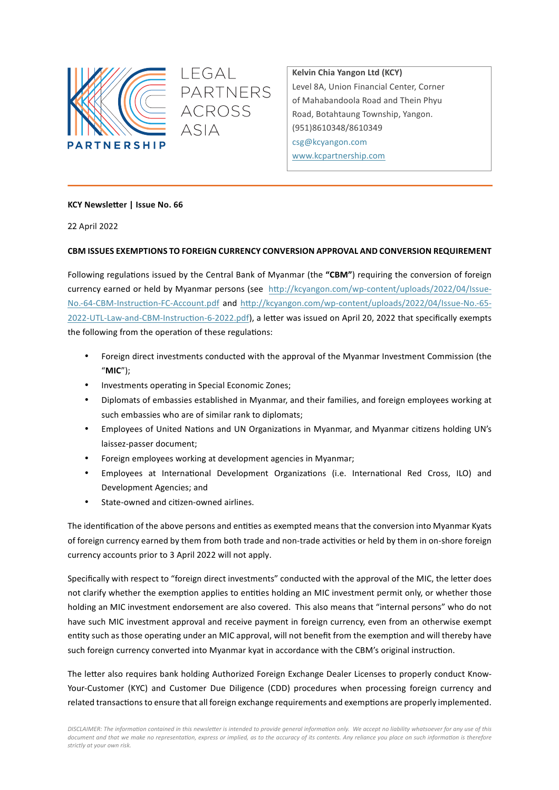

**Kelvin Chia Yangon Ltd (KCY)** PARTNERS Level 8A, Union Financial Center, Corner of Mahabandoola Road and Thein Phyu Road, Botahtaung Township, Yangon. (951)8610348/8610349 csg@kcyangon.com www.kcpartnership.com

# **KCY Newsletter | Issue No. 66**

22 April 2022

## **CBM ISSUES EXEMPTIONS TO FOREIGN CURRENCY CONVERSION APPROVAL AND CONVERSION REQUIREMENT**

Following regulations issued by the Central Bank of Myanmar (the "CBM") requiring the conversion of foreign currency earned or held by Myanmar persons (see http://kcyangon.com/wp-content/uploads/2022/04/Issue-No.-64-CBM-Instruction-FC-Account.pdf and http://kcyangon.com/wp-content/uploads/2022/04/Issue-No.-65-2022-UTL-Law-and-CBM-Instruction-6-2022.pdf), a letter was issued on April 20, 2022 that specifically exempts the following from the operation of these regulations:

- Foreign direct investments conducted with the approval of the Myanmar Investment Commission (the "**MIC**");
- Investments operating in Special Economic Zones;

LEGAL

**ACROSS** 

 $\triangle$ SIA

- Diplomats of embassies established in Myanmar, and their families, and foreign employees working at such embassies who are of similar rank to diplomats;
- Employees of United Nations and UN Organizations in Myanmar, and Myanmar citizens holding UN's laissez-passer document;
- Foreign employees working at development agencies in Myanmar;
- Employees at International Development Organizations (i.e. International Red Cross, ILO) and Development Agencies; and
- State-owned and citizen-owned airlines.

The identification of the above persons and entities as exempted means that the conversion into Myanmar Kyats of foreign currency earned by them from both trade and non-trade activities or held by them in on-shore foreign currency accounts prior to 3 April 2022 will not apply.

Specifically with respect to "foreign direct investments" conducted with the approval of the MIC, the letter does not clarify whether the exemption applies to entities holding an MIC investment permit only, or whether those holding an MIC investment endorsement are also covered. This also means that "internal persons" who do not have such MIC investment approval and receive payment in foreign currency, even from an otherwise exempt entity such as those operating under an MIC approval, will not benefit from the exemption and will thereby have such foreign currency converted into Myanmar kyat in accordance with the CBM's original instruction.

The letter also requires bank holding Authorized Foreign Exchange Dealer Licenses to properly conduct Know-Your-Customer (KYC) and Customer Due Diligence (CDD) procedures when processing foreign currency and related transactions to ensure that all foreign exchange requirements and exemptions are properly implemented.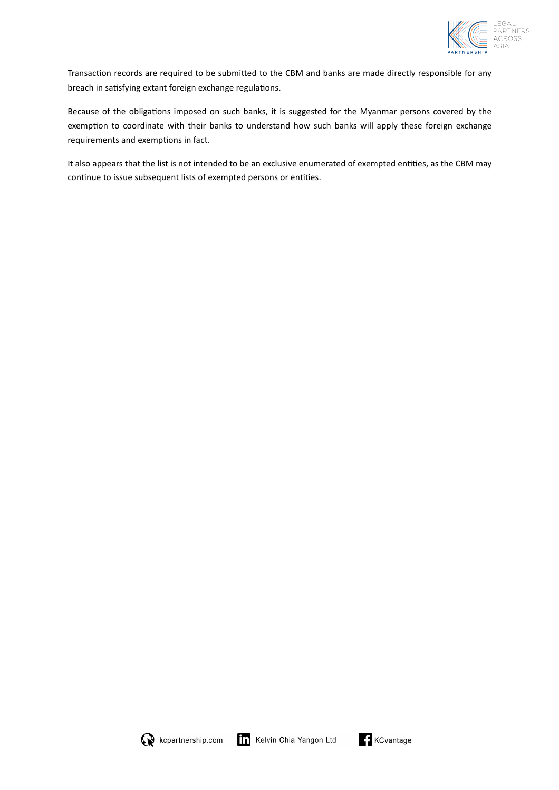

Transaction records are required to be submitted to the CBM and banks are made directly responsible for any breach in satisfying extant foreign exchange regulations.

Because of the obligations imposed on such banks, it is suggested for the Myanmar persons covered by the exemption to coordinate with their banks to understand how such banks will apply these foreign exchange requirements and exemptions in fact.

It also appears that the list is not intended to be an exclusive enumerated of exempted entities, as the CBM may continue to issue subsequent lists of exempted persons or entities.



$$
\bigcap_{i=1}^n
$$
 KCvantage